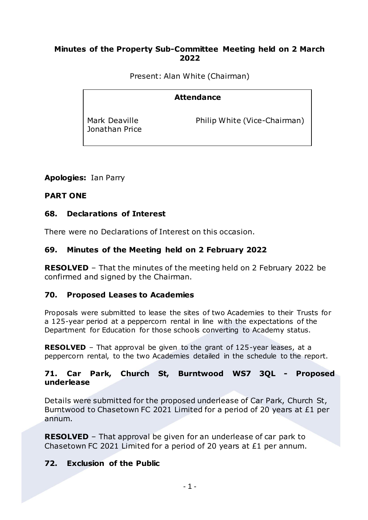#### **Minutes of the Property Sub-Committee Meeting held on 2 March 2022**

Present: Alan White (Chairman)

# **Attendance**

Mark Deaville Jonathan Price Philip White (Vice-Chairman)

## **Apologies:** Ian Parry

## **PART ONE**

#### **68. Declarations of Interest**

There were no Declarations of Interest on this occasion.

## **69. Minutes of the Meeting held on 2 February 2022**

**RESOLVED** – That the minutes of the meeting held on 2 February 2022 be confirmed and signed by the Chairman.

## **70. Proposed Leases to Academies**

Proposals were submitted to lease the sites of two Academies to their Trusts for a 125-year period at a peppercorn rental in line with the expectations of the Department for Education for those schools converting to Academy status.

**RESOLVED** – That approval be given to the grant of 125-year leases, at a peppercorn rental, to the two Academies detailed in the schedule to the report.

#### **71. Car Park, Church St, Burntwood WS7 3QL - Proposed underlease**

Details were submitted for the proposed underlease of Car Park, Church St, Burntwood to Chasetown FC 2021 Limited for a period of 20 years at £1 per annum.

**RESOLVED** – That approval be given for an underlease of car park to Chasetown FC 2021 Limited for a period of 20 years at £1 per annum.

## **72. Exclusion of the Public**